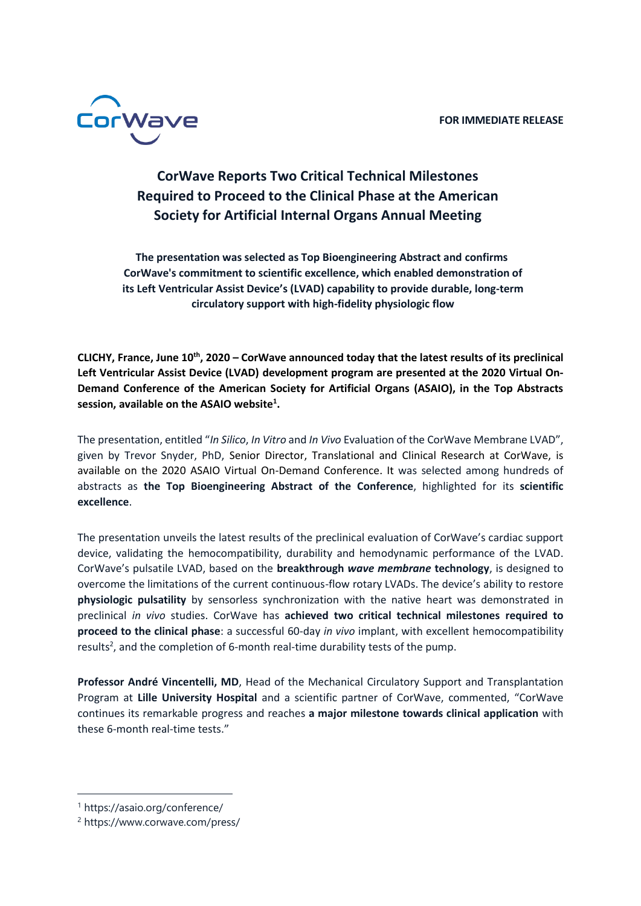

## **CorWave Reports Two Critical Technical Milestones Required to Proceed to the Clinical Phase at the American Society for Artificial Internal Organs Annual Meeting**

**The presentation was selected as Top Bioengineering Abstract and confirms CorWave's commitment to scientific excellence, which enabled demonstration of its Left Ventricular Assist Device's (LVAD) capability to provide durable, long-term circulatory support with high-fidelity physiologic flow**

**CLICHY, France, June 10th, 2020 – CorWave announced today that the latest results of its preclinical Left Ventricular Assist Device (LVAD) development program are presented at the 2020 Virtual On-Demand Conference of the American Society for Artificial Organs (ASAIO), in the Top Abstracts session, available on the ASAIO website<sup>1</sup> .**

The presentation, entitled "*In Silico*, *In Vitro* and *In Vivo* Evaluation of the CorWave Membrane LVAD", given by Trevor Snyder, PhD, Senior Director, Translational and Clinical Research at CorWave, is available on the 2020 ASAIO Virtual On-Demand Conference. It was selected among hundreds of abstracts as **the Top Bioengineering Abstract of the Conference**, highlighted for its **scientific excellence**.

The presentation unveils the latest results of the preclinical evaluation of CorWave's cardiac support device, validating the hemocompatibility, durability and hemodynamic performance of the LVAD. CorWave's pulsatile LVAD, based on the **breakthrough** *wave membrane* **technology**, is designed to overcome the limitations of the current continuous-flow rotary LVADs. The device's ability to restore **physiologic pulsatility** by sensorless synchronization with the native heart was demonstrated in preclinical *in vivo* studies. CorWave has **achieved two critical technical milestones required to proceed to the clinical phase**: a successful 60-day *in vivo* implant, with excellent hemocompatibility results<sup>2</sup>, and the completion of 6-month real-time durability tests of the pump.

**Professor André Vincentelli, MD**, Head of the Mechanical Circulatory Support and Transplantation Program at **Lille University Hospital** and a scientific partner of CorWave, commented, "CorWave continues its remarkable progress and reaches **a major milestone towards clinical application** with these 6-month real-time tests."

<sup>1</sup> https://asaio.org/conference/

<sup>2</sup> https://www.corwave.com/press/